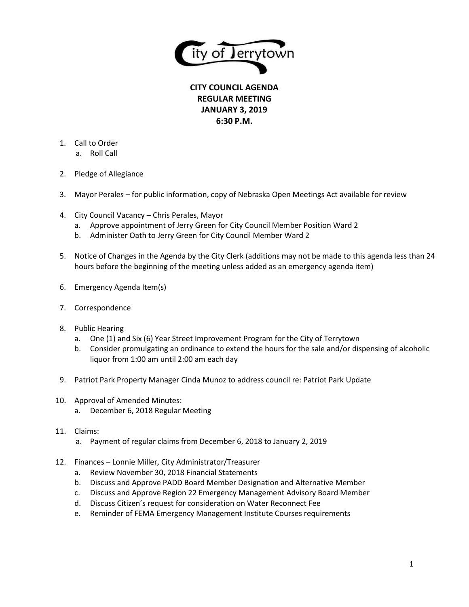

**CITY COUNCIL AGENDA REGULAR MEETING JANUARY 3, 2019 6:30 P.M.**

- 1. Call to Order
	- a. Roll Call
- 2. Pledge of Allegiance
- 3. Mayor Perales for public information, copy of Nebraska Open Meetings Act available for review
- 4. City Council Vacancy Chris Perales, Mayor
	- a. Approve appointment of Jerry Green for City Council Member Position Ward 2
	- b. Administer Oath to Jerry Green for City Council Member Ward 2
- 5. Notice of Changes in the Agenda by the City Clerk (additions may not be made to this agenda less than 24 hours before the beginning of the meeting unless added as an emergency agenda item)
- 6. Emergency Agenda Item(s)
- 7. Correspondence
- 8. Public Hearing
	- a. One (1) and Six (6) Year Street Improvement Program for the City of Terrytown
	- b. Consider promulgating an ordinance to extend the hours for the sale and/or dispensing of alcoholic liquor from 1:00 am until 2:00 am each day
- 9. Patriot Park Property Manager Cinda Munoz to address council re: Patriot Park Update
- 10. Approval of Amended Minutes:
	- a. December 6, 2018 Regular Meeting
- 11. Claims:
	- a. Payment of regular claims from December 6, 2018 to January 2, 2019
- 12. Finances Lonnie Miller, City Administrator/Treasurer
	- a. Review November 30, 2018 Financial Statements
	- b. Discuss and Approve PADD Board Member Designation and Alternative Member
	- c. Discuss and Approve Region 22 Emergency Management Advisory Board Member
	- d. Discuss Citizen's request for consideration on Water Reconnect Fee
	- e. Reminder of FEMA Emergency Management Institute Courses requirements